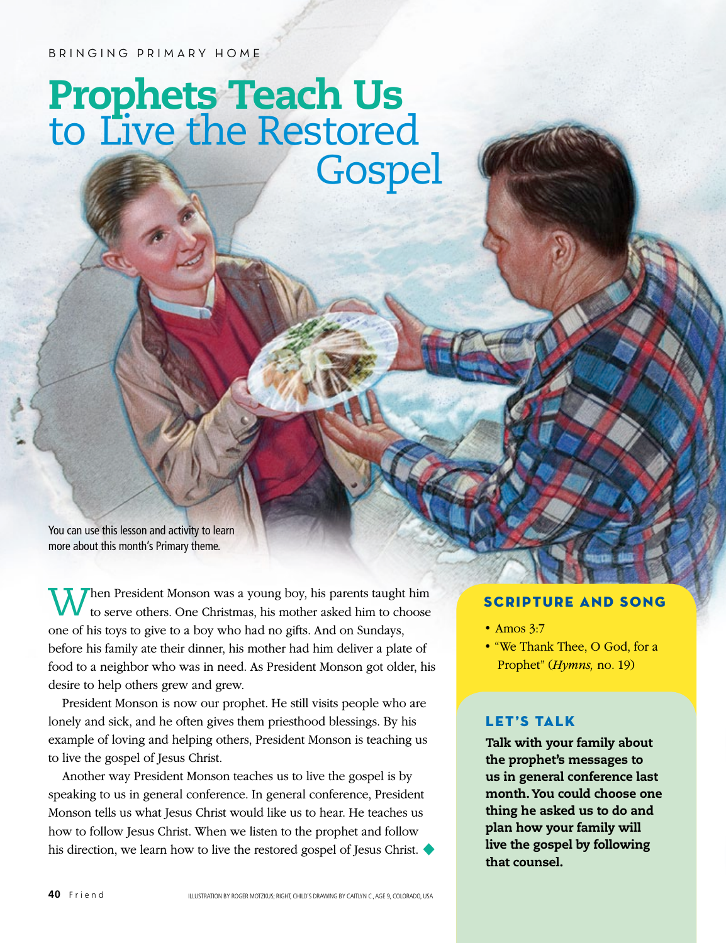BRINGING PRIMARY HOME

## Prophets Teach Us to Live the Restored **Gospel**

You can use this lesson and activity to learn more about this month's Primary theme.

Then President Monson was a young boy, his parents taught him to serve others. One Christmas, his mother asked him to choose one of his toys to give to a boy who had no gifts. And on Sundays, before his family ate their dinner, his mother had him deliver a plate of food to a neighbor who was in need. As President Monson got older, his desire to help others grew and grew.

President Monson is now our prophet. He still visits people who are lonely and sick, and he often gives them priesthood blessings. By his example of loving and helping others, President Monson is teaching us to live the gospel of Jesus Christ.

Another way President Monson teaches us to live the gospel is by speaking to us in general conference. In general conference, President Monson tells us what Jesus Christ would like us to hear. He teaches us how to follow Jesus Christ. When we listen to the prophet and follow his direction, we learn how to live the restored gospel of Jesus Christ. ◆

## SCRIPTURE AND SONG

- Amos 3:7
- "We Thank Thee, O God, for a Prophet" (*Hymns,* no. 19)

## LET'S TALK

Talk with your family about the prophet's messages to us in general conference last month. You could choose one thing he asked us to do and plan how your family will live the gospel by following that counsel.